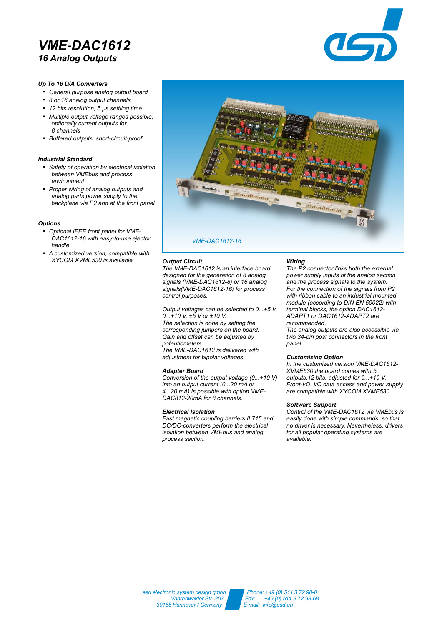# *VME-DAC1612 16 Analog Outputs*



## *Up To 16 D/A Converters*

- *General purpose analog output board*
- *8 or 16 analog output channels*
- *12 bits resolution, 5 µs settling time*
- *Multiple output voltage ranges possible, optionally current outputs for 8 channels*
- *Buffered outputs, short-circuit-proof*

### *Industrial Standard*

- *Safety of operation by electrical isolation between VMEbus and process environment*
- *Proper wiring of analog outputs and analog parts power supply to the backplane via P2 and at the front panel*

#### *Options*

- *Optional IEEE front panel for VME-DAC1612-16 with easy-to-use ejector handle*
- *A customized version, compatible with XYCOM XVME530 is available*



#### *Output Circuit*

*The VME-DAC1612 is an interface board designed for the generation of 8 analog signals (VME-DAC1612-8) or 16 analog signals(VME-DAC1612-16) for process control purposes.*

*Output voltages can be selected to 0...+5 V, 0...+10 V, ±5 V or ±10 V. The selection is done by setting the corresponding jumpers on the board. Gain and offset can be adjusted by potentiometers. The VME-DAC1612 is delivered with adjustment for bipolar voltages.*

#### *Adapter Board*

*Conversion of the output voltage (0...+10 V) into an output current (0...20 mA or 4...20 mA) is possible with option VME-DAC812-20mA for 8 channels.*

#### *Electrical Isolation*

*Fast magnetic coupling barriers IL715 and DC/DC-converters perform the electrical isolation between VMEbus and analog process section.*

### *Wiring*

*The P2 connector links both the external power supply inputs of the analog section and the process signals to the system. For the connection of the signals from P2 with ribbon cable to an industrial mounted module (according to DIN EN 50022) with terminal blocks, the option DAC1612- ADAPT1 or DAC1612-ADAPT2 are recommended. The analog outputs are also accessible via*

*two 34-pin post connectors in the front panel.*

### *Customizing Option*

*In the customized version VME-DAC1612- XVME530 the board comes with 5 outputs,12 bits, adjusted for 0...+10 V. Front-I/O, I/O data access and power supply are compatible with XYCOM XVME530*

## *Software Support*

*Control of the VME-DAC1612 via VMEbus is easily done with simple commands, so that no driver is necessary. Nevertheless, drivers for all popular operating systems are available.*